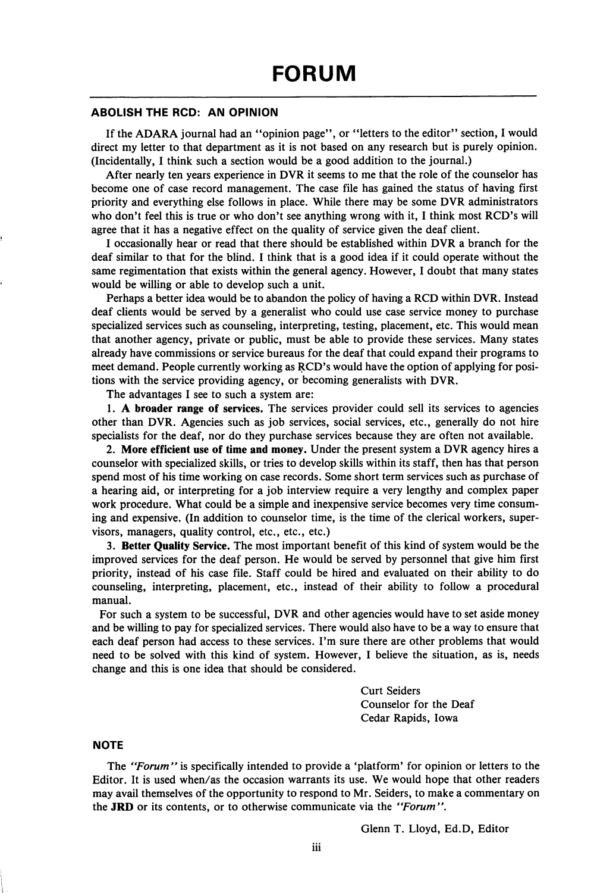## **ABOLISH THE RCD: AN OPINION**

If the ADARA journal had an "opinion page", or "letters to the editor" section, I would direct my letter to that department as it is not based on any research but is purely opinion. (Incidentally, I think such a section would be a good addition to the journal.)

After nearly ten years experience in DVR it seems to me that the role of the counselor has become one of case record management. The case file has gained the status of having first priority and everything else follows in place. While there may be some DVR administrators who don't feel this is true or who don't see anything wrong with it, I think most RCD's will agree that it has a negative effect on the quality of service given the deaf client.

I occasionally hear or read that there should be established within DVR a branch for the deaf similar to that for the blind. I think that is a good idea if it could operate without the same regimentation that exists within the general agency. However, I doubt that many states would be willing or able to develop such a unit.

Perhaps a better idea would be to abandon the policy of having a RCD within DVR. Instead deaf clients would be served by a generalist who could use case service money to purchase specialized services such as counseling, interpreting, testing, placement, etc. This would mean that another agency, private or public, must be able to provide these services. Many states already have commissions or service bureaus for the deaf that could expand their programs to meet demand. People currently working as RCD's would have the option of applying for posi tions with the service providing agency, or becoming generalists with DVR.

The advantages I see to such a system are:

1. A broader range of services. The services provider could sell its services to agencies other than DVR. Agencies such as job services, social services, etc., generally do not hire specialists for the deaf, nor do they purchase services because they are often not available.

2. More efficient use of time and money. Under the present system a DVR agency hires a counselor with specialized skills, or tries to develop skills within its staff, then has that person spend most of his time working on case records. Some short term services such as purchase of a hearing aid, or interpreting for a job interview require a very lengthy and complex paper work procedure. What could be a simple and inexpensive service becomes very time consum ing and expensive. (In addition to counselor time, is the time of the clerical workers, super visors, managers, quality control, etc., etc., etc.)

3. Better Quality Service. The most important benefit of this kind of system would be the improved services for the deaf person. He would be served by personnel that give him first priority, instead of his case file. Staff could be hired and evaluated on their ability to do counseling, interpreting, placement, etc., instead of their ability to follow a procedural manual.

For such a system to be successful, DVR and other agencies would have to set aside money and be willing to pay for specialized services. There would also have to be a way to ensure that each deaf person had access to these services. I'm sure there are other problems that would need to be solved with this kind of system. However, I believe the situation, as is, needs change and this is one idea that should be considered.

> Curt Seiders Counselor for the Deaf Cedar Rapids, Iowa

## **NOTE**

The "Forum" is specifically intended to provide a 'platform' for opinion or letters to the Editor. It is used when/as the occasion warrants its use. We would hope that other readers may avail themselves of the opportunity to respond to Mr. Seiders, to make a commentary on the JRD or its contents, or to otherwise communicate via the "Forum",

Glenn T. Lloyd, Ed.D, Editor